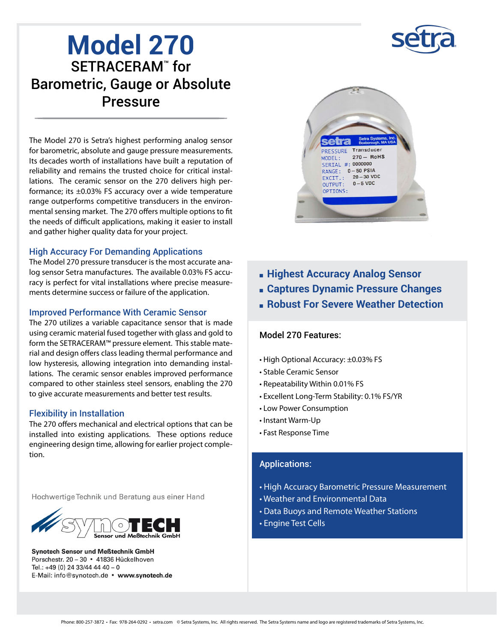

# **Model 270** SETRACERAM<sup>™</sup> for Barometric, Gauge or Absolute Pressure

The Model 270 is Setra's highest performing analog sensor for barometric, absolute and gauge pressure measurements. Its decades worth of installations have built a reputation of reliability and remains the trusted choice for critical installations. The ceramic sensor on the 270 delivers high performance; its ±0.03% FS accuracy over a wide temperature range outperforms competitive transducers in the environmental sensing market. The 270 offers multiple options to fit the needs of difficult applications, making it easier to install and gather higher quality data for your project.

#### High Accuracy For Demanding Applications

The Model 270 pressure transducer is the most accurate analog sensor Setra manufactures. The available 0.03% FS accuracy is perfect for vital installations where precise measurements determine success or failure of the application.

#### Improved Performance With Ceramic Sensor

The 270 utilizes a variable capacitance sensor that is made using ceramic material fused together with glass and gold to form the SETRACERAM™ pressure element. This stable material and design offers class leading thermal performance and low hysteresis, allowing integration into demanding installations. The ceramic sensor enables improved performance compared to other stainless steel sensors, enabling the 270 to give accurate measurements and better test results.

#### Flexibility in Installation

The 270 offers mechanical and electrical options that can be installed into existing applications. These options reduce engineering design time, allowing for earlier project completion.

Hochwertige Technik und Beratung aus einer Hand



**Synotech Sensor und Meßtechnik GmbH** Porschestr. 20 - 30 · 41836 Hückelhoven Tel.: +49 (0) 24 33/44 44 40 - 0 E-Mail: info@synotech.de · www.synotech.de



- <sup>n</sup> **Highest Accuracy Analog Sensor**
- <sup>n</sup> **Captures Dynamic Pressure Changes**
- <sup>n</sup> **Robust For Severe Weather Detection**

#### Model 270 Features:

- High Optional Accuracy: ±0.03% FS
- Stable Ceramic Sensor
- Repeatability Within 0.01% FS
- Excellent Long-Term Stability: 0.1% FS/YR
- Low Power Consumption
- Instant Warm-Up
- Fast Response Time

#### Applications:

- High Accuracy Barometric Pressure Measurement
- Weather and Environmental Data
- Data Buoys and Remote Weather Stations
- Engine Test Cells